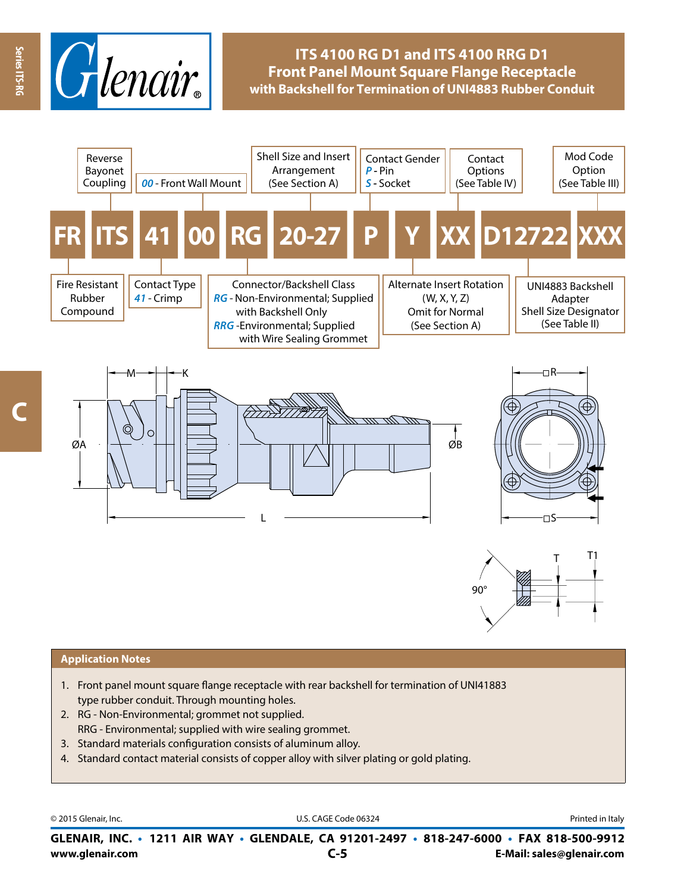

# **ITS 4100 RG D1 and ITS 4100 RRG D1 Front Panel Mount Square Flange Receptacle with Backshell for Termination of UNI4883 Rubber Conduit**









#### **Application Notes**

- 1. Front panel mount square flange receptacle with rear backshell for termination of UNI41883 type rubber conduit. Through mounting holes.
- 2. RG Non-Environmental; grommet not supplied. RRG - Environmental; supplied with wire sealing grommet.
- 3. Standard materials configuration consists of aluminum alloy.
- 4. Standard contact material consists of copper alloy with silver plating or gold plating.

© 2015 Glenair, Inc. **Discription Construction Construction Construction Construction Construction Construction Construction Construction Construction Construction Construction Construction Construction Construction Constr** 

**www.glenair.com E-Mail: sales@glenair.com GLENAIR, INC. • 1211 AIR WAY • GLENDALE, CA 91201-2497 • 818-247-6000 • FAX 818-500-9912 C-5**